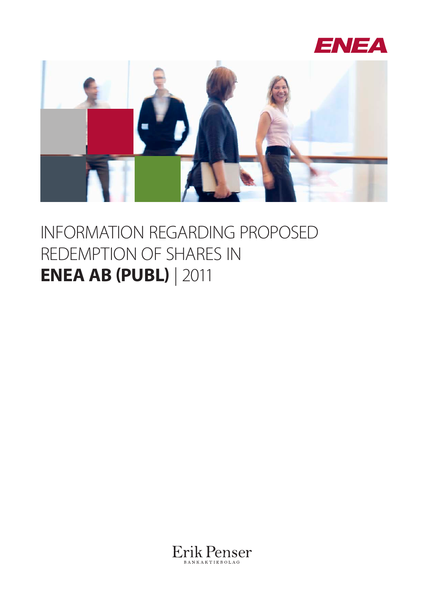



### INFORMATION REGARDING PROPOSED REDEMPTION OF SHARES IN **ENEA AB (PUBL)** | 2011

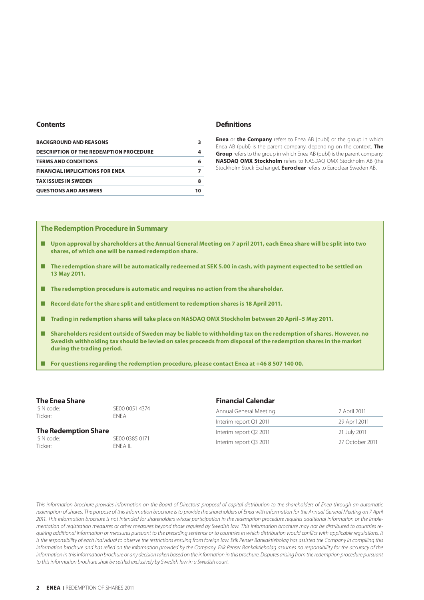### **Contents**

| <b>BACKGROUND AND REASONS</b>                  |    |
|------------------------------------------------|----|
| <b>DESCRIPTION OF THE REDEMPTION PROCEDURE</b> | 4  |
| <b>TERMS AND CONDITIONS</b>                    | 6  |
| <b>FINANCIAL IMPLICATIONS FOR ENEA</b>         |    |
| <b>TAX ISSUES IN SWEDEN</b>                    | 8  |
| <b>QUESTIONS AND ANSWERS</b>                   | 10 |

### **Definitions**

**Enea** or **the Company** refers to Enea AB (publ) or the group in which Enea AB (publ) is the parent company, depending on the context. **The Group** refers to the group in which Enea AB (publ) is the parent company. **NASDAQ OMX Stockholm** refers to NASDAQ OMX Stockholm AB (the Stockholm Stock Exchange). **Euroclear** refers to Euroclear Sweden AB.

### **The Redemption Procedure in Summary**

- **Upon approval by shareholders at the Annual General Meeting on 7 april 2011, each Enea share will be split into two shares, of which one will be named redemption share.**
- **The redemption share will be automatically redeemed at SEK 5.00 in cash, with payment expected to be settled on 13 May 2011.**
- **The redemption procedure is automatic and requires no action from the shareholder.**
- **Record date for the share split and entitlement to redemption shares is 18 April 2011.**
- **Trading in redemption shares will take place on NASDAQ OMX Stockholm between 20 April–5 May 2011.**
- **Shareholders resident outside of Sweden may be liable to withholding tax on the redemption of shares. However, no Swedish withholding tax should be levied on sales proceeds from disposal of the redemption shares in the market during the trading period.**
- **For questions regarding the redemption procedure, please contact Enea at +46 8 507 140 00.**

### **The Enea Share**

Ticker: ENEA

ISIN code: SE00 0051 4374

### **The Redemption Share**

ISIN code: SE00 0385 0171 Ticker: ENEA IL

### **Financial Calendar**

| Annual General Meeting | 7 April 2011    |
|------------------------|-----------------|
| Interim report Q1 2011 | 29 April 2011   |
| Interim report Q2 2011 | 21 July 2011    |
| Interim report Q3 2011 | 27 October 2011 |

*This information brochure provides information on the Board of Directors' proposal of capital distribution to the shareholders of Enea through an automatic*  redemption of shares. The purpose of this information brochure is to provide the shareholders of Enea with information for the Annual General Meeting on 7 April *2011. This information brochure is not intended for shareholders whose participation in the redemption procedure requires additional information or the implementation of registration measures or other measures beyond those required by Swedish law. This information brochure may not be distributed to countries requiring additional information or measures pursuant to the preceding sentence or to countries in which distribution would conflict with applicable regulations. It*  is the responsibility of each individual to observe the restrictions ensuing from foreign law. Erik Penser Bankaktiebolag has assisted the Company in compiling this *information brochure and has relied on the information provided by the Company. Erik Penser Bankaktiebolag assumes no responsibility for the accuracy of the information in this information brochure or any decision taken based on the information in this brochure. Disputes arising from the redemption procedure pursuant to this information brochure shall be settled exclusively by Swedish law in a Swedish court.*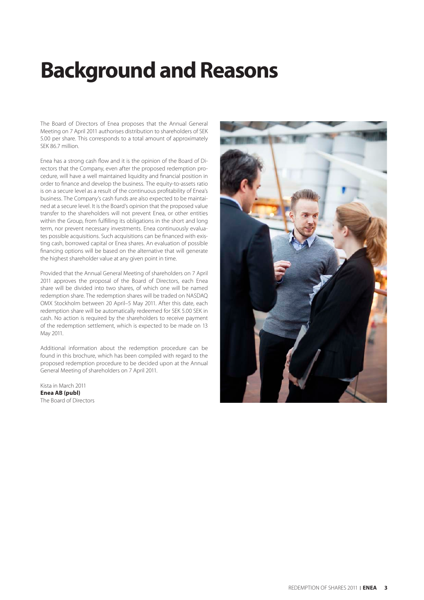### **Background and Reasons**

The Board of Directors of Enea proposes that the Annual General Meeting on 7 April 2011 authorises distribution to shareholders of SEK 5.00 per share. This corresponds to a total amount of approximately SEK 86.7 million.

Enea has a strong cash flow and it is the opinion of the Board of Directors that the Company, even after the proposed redemption procedure, will have a well maintained liquidity and financial position in order to finance and develop the business. The equity-to-assets ratio is on a secure level as a result of the continuous profitability of Enea's business. The Company's cash funds are also expected to be maintained at a secure level. It is the Board's opinion that the proposed value transfer to the shareholders will not prevent Enea, or other entities within the Group, from fulfilling its obligations in the short and long term, nor prevent necessary investments. Enea continuously evaluates possible acquisitions. Such acquisitions can be financed with existing cash, borrowed capital or Enea shares. An evaluation of possible financing options will be based on the alternative that will generate the highest shareholder value at any given point in time.

Provided that the Annual General Meeting of shareholders on 7 April 2011 approves the proposal of the Board of Directors, each Enea share will be divided into two shares, of which one will be named redemption share. The redemption shares will be traded on NASDAQ OMX Stockholm between 20 April–5 May 2011. After this date, each redemption share will be automatically redeemed for SEK 5.00 SEK in cash. No action is required by the shareholders to receive payment of the redemption settlement, which is expected to be made on 13 May 2011.

Additional information about the redemption procedure can be found in this brochure, which has been compiled with regard to the proposed redemption procedure to be decided upon at the Annual General Meeting of shareholders on 7 April 2011.

Kista in March 2011 **Enea AB (publ)** The Board of Directors

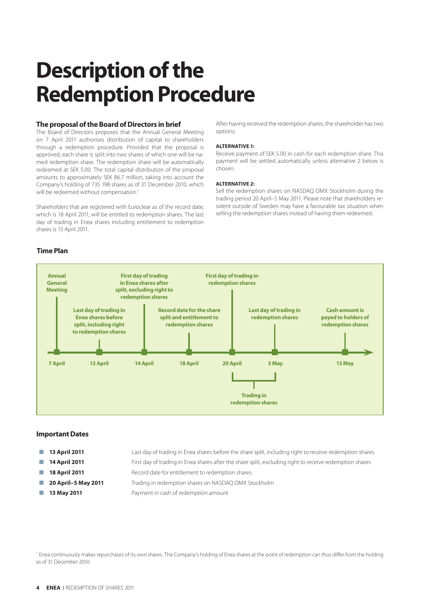### **Description of the Redemption Procedure**

### **The proposal of the Board of Directors in brief**

The Board of Directors proposes that the Annual General Meeting on 7 April 2011 authorises distribution of capital to shareholders through a redemption procedure. Provided that the proposal is approved, each share is split into two shares of which one will be named redemption share. The redemption share will be automatically redeemed at SEK 5.00. The total capital distribution of the proposal amounts to approximately SEK 86.7 million, taking into account the Company's holding of 735 198 shares as of 31 December 2010, which will be redeemed without compensation.<sup>1</sup>

Shareholders that are registered with Euroclear as of the record date, which is 18 April 2011, will be entitled to redemption shares. The last day of trading in Enea shares including entitlement to redemption shares is 13 April 2011.

**Time Plan**

After having received the redemption shares, the shareholder has two options:

#### **ALTERNATIVE 1:**

Receive payment of SEK 5.00 in cash for each redemption share. This payment will be settled automatically unless alternative 2 below is chosen.

#### **ALTERNATIVE 2:**

Sell the redemption shares on NASDAQ OMX Stockholm during the trading period 20 April–5 May 2011. Please note that shareholders resident outside of Sweden may have a favourable tax situation when selling the redemption shares instead of having them redeemed.



### **Important Dates**

- 
- 

- 
- 
- **13 April 2011** Last day of trading in Enea shares before the share split, including right to receive redemption shares
- **14 April 2011** First day of trading in Enea shares after the share split, excluding right to receive redemption shares
- **18 April 2011** Record date for entitlement to redemption shares
- **20 April–5 May 2011** Trading in redemption shares on NASDAQ OMX Stockholm
- **13 May 2011 Payment in cash of redemption amount**

<sup>1</sup> Enea continuously makes repurchases of its own shares. The Company's holding of Enea shares at the point of redemption can thus differ from the holding as of 31 December 2010.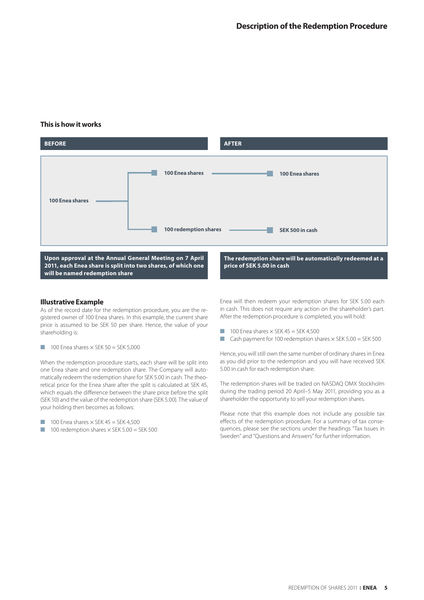### **This is how it works**



### **Illustrative Example**

As of the record date for the redemption procedure, you are the registered owner of 100 Enea shares. In this example, the current share price is assumed to be SEK 50 per share. Hence, the value of your shareholding is:

 $\blacksquare$  100 Enea shares  $\times$  SEK 50 = SEK 5,000

When the redemption procedure starts, each share will be split into one Enea share and one redemption share. The Company will automatically redeem the redemption share for SEK 5.00 in cash. The theoretical price for the Enea share after the split is calculated at SEK 45, which equals the difference between the share price before the split (SEK 50) and the value of the redemption share (SEK 5.00). The value of your holding then becomes as follows:

- $\blacksquare$  100 Enea shares  $\times$  SEK 45 = SEK 4,500
- $\blacksquare$  100 redemption shares  $\times$  SEK 5.00 = SEK 500

Enea will then redeem your redemption shares for SEK 5.00 each in cash. This does not require any action on the shareholder's part. After the redemption procedure is completed, you will hold:

- $\blacksquare$  100 Enea shares  $\times$  SEK 45 = SEK 4,500
- Cash payment for 100 redemption shares × SEK 5.00 = SEK 500

Hence, you will still own the same number of ordinary shares in Enea as you did prior to the redemption and you will have received SEK 5.00 in cash for each redemption share.

The redemption shares will be traded on NASDAQ OMX Stockholm during the trading period 20 April–5 May 2011, providing you as a shareholder the opportunity to sell your redemption shares.

Please note that this example does not include any possible tax effects of the redemption procedure. For a summary of tax consequences, please see the sections under the headings "Tax Issues in Sweden" and "Questions and Answers" for further information.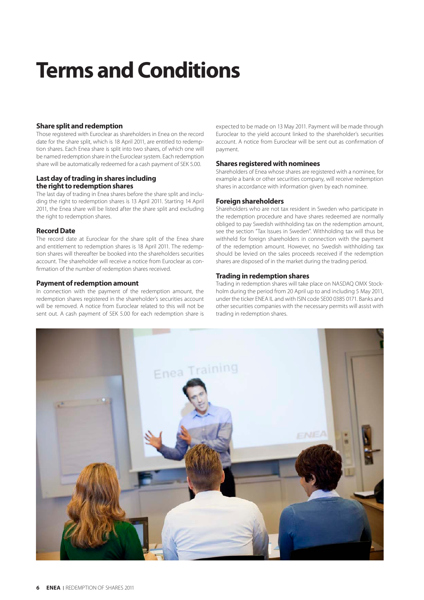# **Terms and Conditions**

### **Share split and redemption**

Those registered with Euroclear as shareholders in Enea on the record date for the share split, which is 18 April 2011, are entitled to redemption shares. Each Enea share is split into two shares, of which one will be named redemption share in the Euroclear system. Each redemption share will be automatically redeemed for a cash payment of SEK 5.00.

### **Last day of trading in shares including the right to redemption shares**

The last day of trading in Enea shares before the share split and including the right to redemption shares is 13 April 2011. Starting 14 April 2011, the Enea share will be listed after the share split and excluding the right to redemption shares.

### **Record Date**

The record date at Euroclear for the share split of the Enea share and entitlement to redemption shares is 18 April 2011. The redemption shares will thereafter be booked into the shareholders securities account. The shareholder will receive a notice from Euroclear as confirmation of the number of redemption shares received.

### **Payment of redemption amount**

In connection with the payment of the redemption amount, the redemption shares registered in the shareholder's securities account will be removed. A notice from Euroclear related to this will not be sent out. A cash payment of SEK 5.00 for each redemption share is expected to be made on 13 May 2011. Payment will be made through Euroclear to the yield account linked to the shareholder's securities account. A notice from Euroclear will be sent out as confirmation of payment.

### **Shares registered with nominees**

Shareholders of Enea whose shares are registered with a nominee, for example a bank or other securities company, will receive redemption shares in accordance with information given by each nominee.

### **Foreign shareholders**

Shareholders who are not tax resident in Sweden who participate in the redemption procedure and have shares redeemed are normally obliged to pay Swedish withholding tax on the redemption amount, see the section "Tax Issues in Sweden". Withholding tax will thus be withheld for foreign shareholders in connection with the payment of the redemption amount. However, no Swedish withholding tax should be levied on the sales proceeds received if the redemption shares are disposed of in the market during the trading period.

### **Trading in redemption shares**

Trading in redemption shares will take place on NASDAQ OMX Stockholm during the period from 20 April up to and including 5 May 2011, under the ticker ENEA IL and with ISIN code SE00 0385 0171. Banks and other securities companies with the necessary permits will assist with trading in redemption shares.

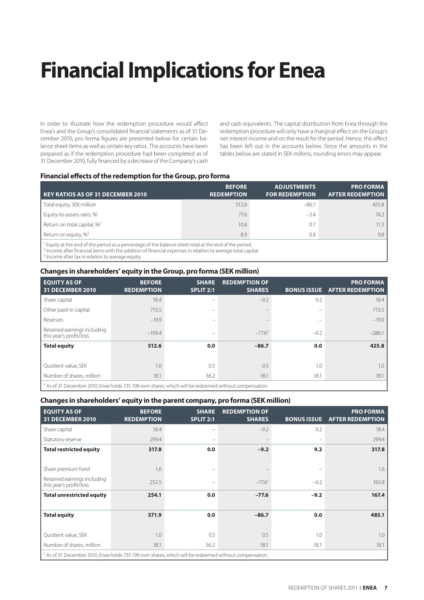# **Financial Implications for Enea**

In order to illustrate how the redemption procedure would affect Enea's and the Group's consolidated financial statements as of 31 December 2010, pro forma figures are presented below for certain balance sheet items as well as certain key ratios. The accounts have been prepared as if the redemption procedure had been completed as of 31 December 2010, fully financed by a decrease of the Company's cash

and cash equivalents. The capital distribution from Enea through the redemption procedure will only have a marginal effect on the Group's net interest income and on the result for the period. Hence, this effect has been left out in the accounts below. Since the amounts in the tables below are stated in SEK millons, rounding errors may appear.

### **Financial effects of the redemption for the Group, pro forma**

| KEY RATIOS AS OF 31 DECEMBER 2010                                                                           | <b>BEFORE</b><br><b>REDEMPTION</b> | <b>ADJUSTMENTS</b><br><b>FOR REDEMPTION</b> | <b>PRO FORMA</b><br><b>AFTER REDEMPTION</b> |  |  |  |
|-------------------------------------------------------------------------------------------------------------|------------------------------------|---------------------------------------------|---------------------------------------------|--|--|--|
| Total equity, SEK million                                                                                   | 512.6                              | $-86.7$                                     | 425.8                                       |  |  |  |
| Equity-to-assets ratio, % <sup>1</sup>                                                                      | 77.6                               | $-3.4$                                      | 74.2                                        |  |  |  |
| Return on total capital, % <sup>2</sup>                                                                     | 10.6                               | 0.7                                         | 11.3                                        |  |  |  |
| Return on equity, % <sup>3</sup>                                                                            | 8.9                                | 0.8                                         | 9.8                                         |  |  |  |
| $\Box$ Equity at the end of the period as a persentage of the balance sheet total at the end of the period. |                                    |                                             |                                             |  |  |  |

ince sheet total at the end of the perio

<sup>2</sup> Income after financial items with the addition of financial expenses in relation to average total capital. <sup>3</sup> Income after tax in relation to average equity.

### **Changes in shareholders' equity in the Group, pro forma (SEK million)**

| <b>EQUITY AS OF</b><br><b>31 DECEMBER 2010</b>                                                        | <b>BEFORE</b><br><b>REDEMPTION</b> | <b>SHARE</b><br>SPLIT 2:1 | <b>REDEMPTION OF</b><br><b>SHARES</b> | <b>BONUS ISSUE</b> | <b>PRO FORMA</b><br><b>AFTER REDEMPTION</b> |
|-------------------------------------------------------------------------------------------------------|------------------------------------|---------------------------|---------------------------------------|--------------------|---------------------------------------------|
| Share capital                                                                                         | 18.4                               | -                         | $-9.2$                                | 9.2                | 18.4                                        |
| Other paid-in capital                                                                                 | 713.5                              | -                         |                                       | $\qquad \qquad =$  | 713.5                                       |
| Reserves                                                                                              | $-19.9$                            | -                         |                                       | -                  | $-19.9$                                     |
| Retained earnings including<br>this year's profit/loss                                                | $-199.4$                           | $\overline{\phantom{0}}$  | $-77.64$                              | $-9.2$             | $-286.1$                                    |
| <b>Total equity</b>                                                                                   | 512.6                              | 0.0                       | $-86.7$                               | 0.0                | 425.8                                       |
|                                                                                                       |                                    |                           |                                       |                    |                                             |
| Quotient value, SEK                                                                                   | 1.0                                | 0.5                       | 0.5                                   | 1.0                | 1.0                                         |
| Number of shares, million                                                                             | 18.1                               | 36.2                      | 18.1                                  | 18.1               | 18.1                                        |
| the of 21 December 2010, Free bolde 725, 100 out december which will be redeemed without componentian |                                    |                           |                                       |                    |                                             |

<sup>4</sup> As of 31 December 2010, Enea holds 735 198 own shares, which will be redeemed without compensation.

### **Changes in shareholders' equity in the parent company, pro forma (SEK million)**

| <b>EQUITY AS OF</b><br><b>31 DECEMBER 2010</b>                                                                    | <b>BEFORE</b><br><b>REDEMPTION</b> | <b>SHARE</b><br><b>SPLIT 2:1</b> | <b>REDEMPTION OF</b><br><b>SHARES</b> | <b>BONUS ISSUE</b>       | <b>PRO FORMA</b><br><b>AFTER REDEMPTION</b> |
|-------------------------------------------------------------------------------------------------------------------|------------------------------------|----------------------------------|---------------------------------------|--------------------------|---------------------------------------------|
| Share capital                                                                                                     | 18.4                               |                                  | $-9.2$                                | 9.2                      | 18.4                                        |
| Statutory reserve                                                                                                 | 299.4                              | -                                |                                       | $\qquad \qquad -$        | 299.4                                       |
| <b>Total restricted equity</b>                                                                                    | 317.8                              | 0.0                              | $-9.2$                                | 9.2                      | 317.8                                       |
|                                                                                                                   |                                    |                                  |                                       |                          |                                             |
| Share premium fund                                                                                                | 1.6                                | $\overline{\phantom{0}}$         |                                       | $\overline{\phantom{m}}$ | 1.6                                         |
| Retained earnings including<br>this year's profit/loss                                                            | 252.5                              |                                  | $-77.6^{5}$                           | $-9.2$                   | 165.8                                       |
| <b>Total unrestricted equity</b>                                                                                  | 254.1                              | 0.0                              | $-77.6$                               | $-9.2$                   | 167.4                                       |
|                                                                                                                   |                                    |                                  |                                       |                          |                                             |
| <b>Total equity</b>                                                                                               | 571.9                              | 0.0                              | $-86.7$                               | 0.0                      | 485.1                                       |
|                                                                                                                   |                                    |                                  |                                       |                          |                                             |
| Quotient value, SEK                                                                                               | 1.0                                | 0.5                              | 0.5                                   | 1.0                      | 1.0                                         |
| Number of shares, million                                                                                         | 18.1                               | 36.2                             | 18.1                                  | 18.1                     | 18.1                                        |
| $\frac{5}{1}$ As of 31 December 2010, Enea holds 735 198 own shares, which will be redeemed without compensation. |                                    |                                  |                                       |                          |                                             |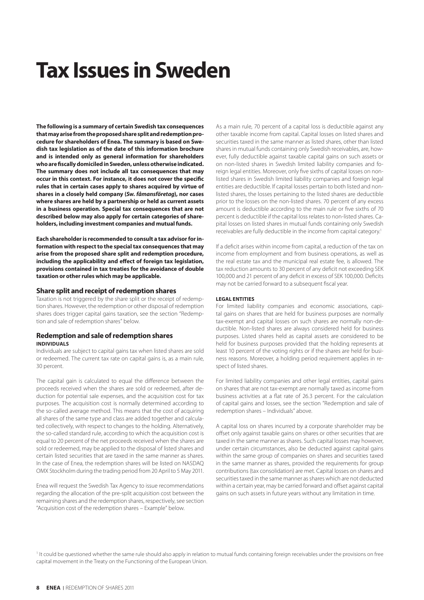### **Tax Issues in Sweden**

**The following is a summary of certain Swedish tax consequences that may arise from the proposed share split and redemption procedure for shareholders of Enea. The summary is based on Swedish tax legislation as of the date of this information brochure and is intended only as general information for shareholders who are fiscally domiciled in Sweden, unless otherwise indicated. The summary does not include all tax consequences that may occur in this context. For instance, it does not cover the specific rules that in certain cases apply to shares acquired by virtue of shares in a closely held company (***Sw. fåmansföretag***), nor cases where shares are held by a partnership or held as current assets in a business operation. Special tax consequences that are not described below may also apply for certain categories of shareholders, including investment companies and mutual funds.** 

**Each shareholder is recommended to consult a tax advisor for information with respect to the special tax consequences that may arise from the proposed share split and redemption procedure, including the applicability and effect of foreign tax legislation, provisions contained in tax treaties for the avoidance of double taxation or other rules which may be applicable.**

#### **Share split and receipt of redemption shares**

Taxation is not triggered by the share split or the receipt of redemption shares. However, the redemption or other disposal of redemption shares does trigger capital gains taxation, see the section "Redemption and sale of redemption shares" below.

### **Redemption and sale of redemption shares INDIVIDUALS**

Individuals are subject to capital gains tax when listed shares are sold or redeemed. The current tax rate on capital gains is, as a main rule, 30 percent.

The capital gain is calculated to equal the difference between the proceeds received when the shares are sold or redeemed, after deduction for potential sale expenses, and the acquisition cost for tax purposes. The acquisition cost is normally determined according to the so-called average method. This means that the cost of acquiring all shares of the same type and class are added together and calculated collectively, with respect to changes to the holding. Alternatively, the so-called standard rule, according to which the acquisition cost is equal to 20 percent of the net proceeds received when the shares are sold or redeemed, may be applied to the disposal of listed shares and certain listed securities that are taxed in the same manner as shares. In the case of Enea, the redemption shares will be listed on NASDAQ OMX Stockholm during the trading period from 20 April to 5 May 2011.

Enea will request the Swedish Tax Agency to issue recommendations regarding the allocation of the pre-split acquisition cost between the remaining shares and the redemption shares, respectively, see section "Acquisition cost of the redemption shares – Example" below.

As a main rule, 70 percent of a capital loss is deductible against any other taxable income from capital. Capital losses on listed shares and securities taxed in the same manner as listed shares, other than listed shares in mutual funds containing only Swedish receivables, are, however, fully deductible against taxable capital gains on such assets or on non-listed shares in Swedish limited liability companies and foreign legal entities. Moreover, only five sixths of capital losses on nonlisted shares in Swedish limited liability companies and foreign legal entities are deductible. If capital losses pertain to both listed and nonlisted shares, the losses pertaining to the listed shares are deductible prior to the losses on the non-listed shares. 70 percent of any excess amount is deductible according to the main rule or five sixths of 70 percent is deductible if the capital loss relates to non-listed shares. Capital losses on listed shares in mutual funds containing only Swedish receivables are fully deductible in the income from capital category.<sup>1</sup>

If a deficit arises within income from capital, a reduction of the tax on income from employment and from business operations, as well as the real estate tax and the municipal real estate fee, is allowed. The tax reduction amounts to 30 percent of any deficit not exceeding SEK 100,000 and 21 percent of any deficit in excess of SEK 100,000. Deficits may not be carried forward to a subsequent fiscal year.

### **LEGAL ENTITIES**

For limited liability companies and economic associations, capital gains on shares that are held for business purposes are normally tax-exempt and capital losses on such shares are normally non-deductible. Non-listed shares are always considered held for business purposes. Listed shares held as capital assets are considered to be held for business purposes provided that the holding represents at least 10 percent of the voting rights or if the shares are held for business reasons. Moreover, a holding period requirement applies in respect of listed shares.

For limited liability companies and other legal entities, capital gains on shares that are not tax-exempt are normally taxed as income from business activities at a flat rate of 26.3 percent. For the calculation of capital gains and losses, see the section "Redemption and sale of redemption shares – Individuals" above.

A capital loss on shares incurred by a corporate shareholder may be offset only against taxable gains on shares or other securities that are taxed in the same manner as shares. Such capital losses may however, under certain circumstances, also be deducted against capital gains within the same group of companies on shares and securities taxed in the same manner as shares, provided the requirements for group contributions (tax consolidation) are met. Capital losses on shares and securities taxed in the same manner as shares which are not deducted within a certain year, may be carried forward and offset against capital gains on such assets in future years without any limitation in time.

<sup>1</sup> It could be questioned whether the same rule should also apply in relation to mutual funds containing foreign receivables under the provisions on free capital movement in the Treaty on the Functioning of the European Union.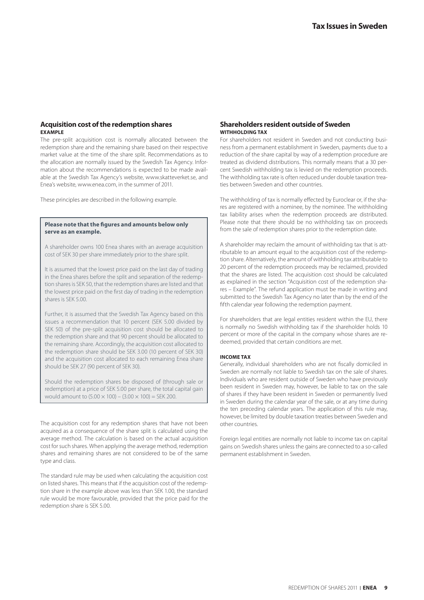### **Acquisition cost of the redemption shares EXAMPLE**

The pre-split acquisition cost is normally allocated between the redemption share and the remaining share based on their respective market value at the time of the share split. Recommendations as to the allocation are normally issued by the Swedish Tax Agency. Information about the recommendations is expected to be made available at the Swedish Tax Agency's website, www.skatteverket.se, and Enea's website, www.enea.com, in the summer of 2011.

These principles are described in the following example.

### **Please note that the figures and amounts below only serve as an example.**

A shareholder owns 100 Enea shares with an average acquisition cost of SEK 30 per share immediately prior to the share split.

It is assumed that the lowest price paid on the last day of trading in the Enea shares before the split and separation of the redemption shares is SEK 50, that the redemption shares are listed and that the lowest price paid on the first day of trading in the redemption shares is SEK 5.00.

Further, it is assumed that the Swedish Tax Agency based on this issues a recommendation that 10 percent (SEK 5.00 divided by SEK 50) of the pre-split acquisition cost should be allocated to the redemption share and that 90 percent should be allocated to the remaining share. Accordingly, the acquisition cost allocated to the redemption share should be SEK 3.00 (10 percent of SEK 30) and the acquisition cost allocated to each remaining Enea share should be SEK 27 (90 percent of SEK 30).

Should the redemption shares be disposed of (through sale or redemption) at a price of SEK 5.00 per share, the total capital gain would amount to  $(5.00 \times 100) - (3.00 \times 100) =$  SEK 200.

The acquisition cost for any redemption shares that have not been acquired as a consequence of the share split is calculated using the average method. The calculation is based on the actual acquisition cost for such shares. When applying the average method, redemption shares and remaining shares are not considered to be of the same type and class.

The standard rule may be used when calculating the acquisition cost on listed shares. This means that if the acquisition cost of the redemption share in the example above was less than SEK 1.00, the standard rule would be more favourable, provided that the price paid for the redemption share is SEK 5.00.

### **Shareholders resident outside of Sweden WITHHOLDING TAX**

For shareholders not resident in Sweden and not conducting business from a permanent establishment in Sweden, payments due to a reduction of the share capital by way of a redemption procedure are treated as dividend distributions. This normally means that a 30 percent Swedish withholding tax is levied on the redemption proceeds. The withholding tax rate is often reduced under double taxation treaties between Sweden and other countries.

The withholding of tax is normally effected by Euroclear or, if the shares are registered with a nominee, by the nominee. The withholding tax liability arises when the redemption proceeds are distributed. Please note that there should be no withholding tax on proceeds from the sale of redemption shares prior to the redemption date.

A shareholder may reclaim the amount of withholding tax that is attributable to an amount equal to the acquisition cost of the redemption share. Alternatively, the amount of withholding tax attributable to 20 percent of the redemption proceeds may be reclaimed, provided that the shares are listed. The acquisition cost should be calculated as explained in the section "Acquisition cost of the redemption shares – Example". The refund application must be made in writing and submitted to the Swedish Tax Agency no later than by the end of the fifth calendar year following the redemption payment.

For shareholders that are legal entities resident within the EU, there is normally no Swedish withholding tax if the shareholder holds 10 percent or more of the capital in the company whose shares are redeemed, provided that certain conditions are met.

#### **INCOME TAX**

Generally, individual shareholders who are not fiscally domiciled in Sweden are normally not liable to Swedish tax on the sale of shares. Individuals who are resident outside of Sweden who have previously been resident in Sweden may, however, be liable to tax on the sale of shares if they have been resident in Sweden or permanently lived in Sweden during the calendar year of the sale, or at any time during the ten preceding calendar years. The application of this rule may, however, be limited by double taxation treaties between Sweden and other countries.

Foreign legal entities are normally not liable to income tax on capital gains on Swedish shares unless the gains are connected to a so-called permanent establishment in Sweden.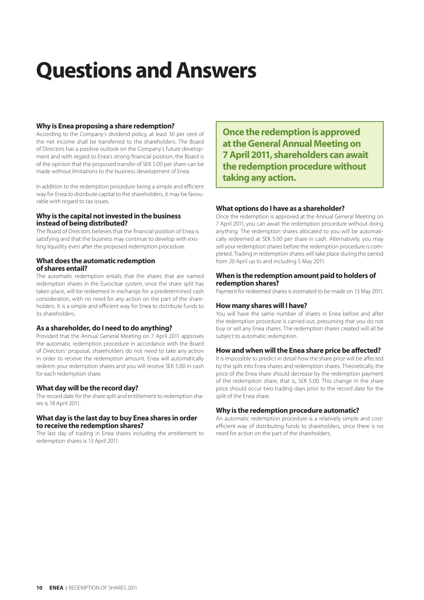### **Questions and Answers**

### **Why is Enea proposing a share redemption?**

According to the Company's dividend policy, at least 30 per cent of the net income shall be transferred to the shareholders. The Board of Directors has a positive outlook on the Company's future development and with regard to Enea's strong financial position, the Board is of the opinion that the proposed transfer of SEK 5.00 per share can be made without limitations to the business development of Enea.

In addition to the redemption procedure being a simple and efficient way for Enea to distribute capital to the shareholders, it may be favourable with regard to tax issues.

### **Why is the capital not invested in the business instead of being distributed?**

The Board of Directors believes that the financial position of Enea is satisfying and that the business may continue to develop with existing liquidity even after the proposed redemption procedure.

### **What does the automatic redemption of shares entail?**

The automatic redemption entails that the shares that are named redemption shares in the Euroclear system, once the share split has taken place, will be redeemed in exchange for a predetermined cash consideration, with no need for any action on the part of the shareholders. It is a simple and efficient way for Enea to distribute funds to its shareholders.

### **As a shareholder, do I need to do anything?**

Provided that the Annual General Meeting on 7 April 2011 approves the automatic redemption procedure in accordance with the Board of Directors' proposal, shareholders do not need to take any action in order to receive the redemption amount. Enea will automatically redeem your redemption shares and you will receive SEK 5.00 in cash for each redemption share.

### **What day will be the record day?**

The record date for the share split and entitlement to redemption shares is 18 April 2011.

### **What day is the last day to buy Enea shares in order to receive the redemption shares?**

The last day of trading in Enea shares including the entitlement to redemption shares is 13 April 2011.

**Once the redemption is approved at the General Annual Meeting on 7 April 2011, shareholders can await the redemption procedure without taking any action.**

### **What options do I have as a shareholder?**

Once the redemption is approved at the Annual General Meeting on 7 April 2011, you can await the redemption procedure without doing anything. The redemption shares allocated to you will be automatically redeemed at SEK 5.00 per share in cash. Alternatively, you may sell your redemption shares before the redemption procedure is completed. Trading in redemption shares will take place during the period from 20 April up to and including 5 May 2011.

### **When is the redemption amount paid to holders of redemption shares?**

Payment for redeemed shares is estimated to be made on 13 May 2011.

### **How many shares will I have?**

You will have the same number of shares in Enea before and after the redemption procedure is carried out, presuming that you do not buy or sell any Enea shares. The redemption shares created will all be subject to automatic redemption.

### **How and when will the Enea share price be affected?**

It is impossible to predict in detail how the share price will be affected by the split into Enea shares and redemption shares. Theoretically, the price of the Enea share should decrease by the redemption payment of the redemption share, that is, SEK 5.00. This change in the share price should occur two trading days prior to the record date for the split of the Enea share.

### **Why is the redemption procedure automatic?**

An automatic redemption procedure is a relatively simple and costefficient way of distributing funds to shareholders, since there is no need for action on the part of the shareholders.